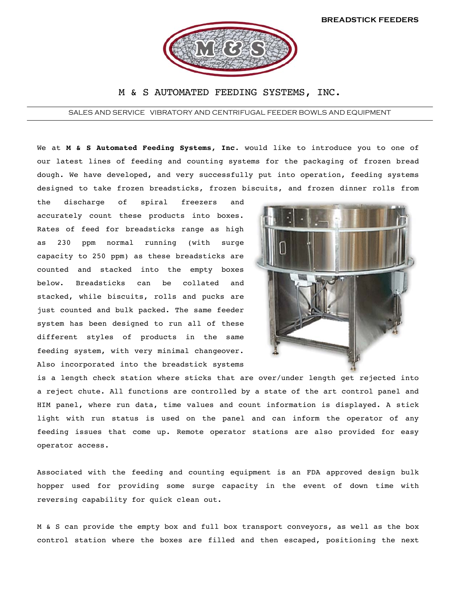

## M & S AUTOMATED FEEDING SYSTEMS, INC.

SALES AND SERVICE VIBRATORY AND CENTRIFUGAL FEEDER BOWLS AND EQUIPMENT

We at **M & S Automated Feeding Systems, Inc**. would like to introduce you to one of our latest lines of feeding and counting systems for the packaging of frozen bread dough. We have developed, and very successfully put into operation, feeding systems designed to take frozen breadsticks, frozen biscuits, and frozen dinner rolls from

the discharge of spiral freezers and accurately count these products into boxes. Rates of feed for breadsticks range as high as 230 ppm normal running (with surge capacity to 250 ppm) as these breadsticks are counted and stacked into the empty boxes below. Breadsticks can be collated and stacked, while biscuits, rolls and pucks are just counted and bulk packed. The same feeder system has been designed to run all of these different styles of products in the same feeding system, with very minimal changeover. Also incorporated into the breadstick systems



is a length check station where sticks that are over/under length get rejected into a reject chute. All functions are controlled by a state of the art control panel and HIM panel, where run data, time values and count information is displayed. A stick light with run status is used on the panel and can inform the operator of any feeding issues that come up. Remote operator stations are also provided for easy operator access.

Associated with the feeding and counting equipment is an FDA approved design bulk hopper used for providing some surge capacity in the event of down time with reversing capability for quick clean out.

M & S can provide the empty box and full box transport conveyors, as well as the box control station where the boxes are filled and then escaped, positioning the next